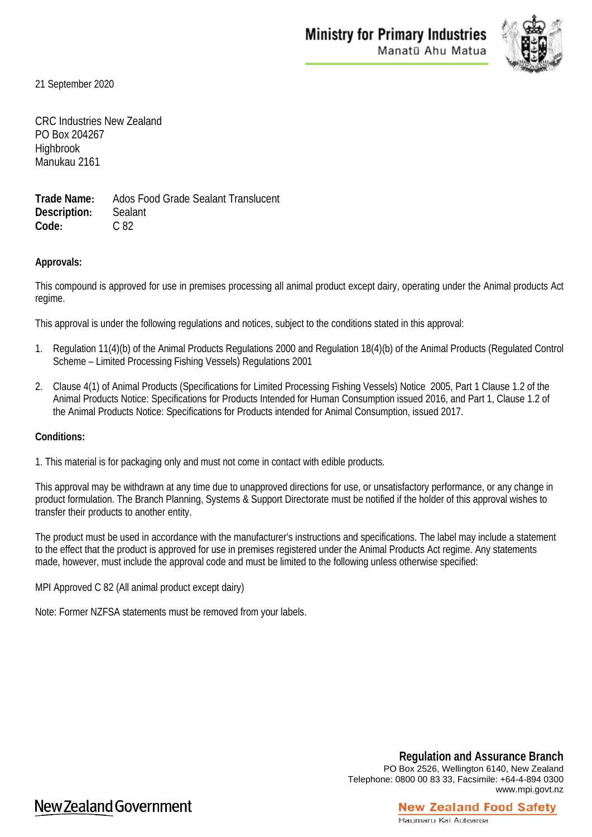

21 September 2020

CRC Industries New Zealand PO Box 204267 **Highbrook** Manukau 2161

**Trade Name:** Ados Food Grade Sealant Translucent **Description:** Sealant **Code:** C 82

## **Approvals:**

This compound is approved for use in premises processing all animal product except dairy, operating under the Animal products Act regime.

This approval is under the following regulations and notices, subject to the conditions stated in this approval:

- 1. Regulation 11(4)(b) of the Animal Products Regulations 2000 and Regulation 18(4)(b) of the Animal Products (Regulated Control Scheme – Limited Processing Fishing Vessels) Regulations 2001
- 2. Clause 4(1) of Animal Products (Specifications for Limited Processing Fishing Vessels) Notice 2005, Part 1 Clause 1.2 of the Animal Products Notice: Specifications for Products Intended for Human Consumption issued 2016, and Part 1, Clause 1.2 of the Animal Products Notice: Specifications for Products intended for Animal Consumption, issued 2017.

#### **Conditions:**

1. This material is for packaging only and must not come in contact with edible products.

This approval may be withdrawn at any time due to unapproved directions for use, or unsatisfactory performance, or any change in product formulation. The Branch Planning, Systems & Support Directorate must be notified if the holder of this approval wishes to transfer their products to another entity.

The product must be used in accordance with the manufacturer's instructions and specifications. The label may include a statement to the effect that the product is approved for use in premises registered under the Animal Products Act regime. Any statements made, however, must include the approval code and must be limited to the following unless otherwise specified:

MPI Approved C 82 (All animal product except dairy)

Note: Former NZFSA statements must be removed from your labels.

**Regulation and Assurance Branch** PO Box 2526, Wellington 6140, New Zealand Telephone: 0800 00 83 33, Facsimile: +64-4-894 0300 www.mpi.govt.nz

**New Zealand Food Safety** 

# New Zealand Government